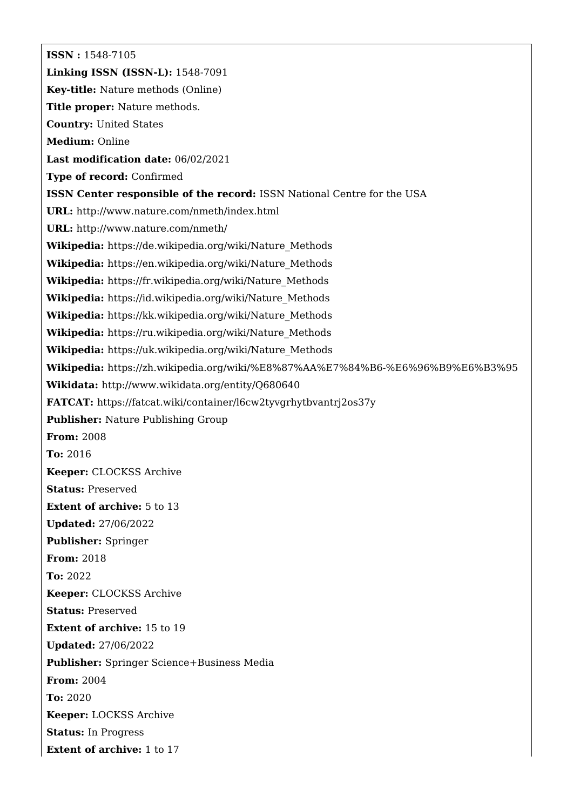**ISSN :** 1548-7105 **Linking ISSN (ISSN-L):** 1548-7091 **Key-title:** Nature methods (Online) **Title proper:** Nature methods. **Country:** United States **Medium:** Online **Last modification date:** 06/02/2021 **Type of record:** Confirmed **ISSN Center responsible of the record:** ISSN National Centre for the USA **URL:** <http://www.nature.com/nmeth/index.html> **URL:** <http://www.nature.com/nmeth/> **Wikipedia:** [https://de.wikipedia.org/wiki/Nature\\_Methods](https://de.wikipedia.org/wiki/Nature_Methods) **Wikipedia:** [https://en.wikipedia.org/wiki/Nature\\_Methods](https://en.wikipedia.org/wiki/Nature_Methods) **Wikipedia:** [https://fr.wikipedia.org/wiki/Nature\\_Methods](https://fr.wikipedia.org/wiki/Nature_Methods) **Wikipedia:** [https://id.wikipedia.org/wiki/Nature\\_Methods](https://id.wikipedia.org/wiki/Nature_Methods) **Wikipedia:** [https://kk.wikipedia.org/wiki/Nature\\_Methods](https://kk.wikipedia.org/wiki/Nature_Methods) **Wikipedia:** [https://ru.wikipedia.org/wiki/Nature\\_Methods](https://ru.wikipedia.org/wiki/Nature_Methods) **Wikipedia:** [https://uk.wikipedia.org/wiki/Nature\\_Methods](https://uk.wikipedia.org/wiki/Nature_Methods) **Wikipedia:** <https://zh.wikipedia.org/wiki/%E8%87%AA%E7%84%B6-%E6%96%B9%E6%B3%95> **Wikidata:** <http://www.wikidata.org/entity/Q680640> **FATCAT:** <https://fatcat.wiki/container/l6cw2tyvgrhytbvantrj2os37y> **Publisher:** Nature Publishing Group **From:** 2008 **To:** 2016 **Keeper:** CLOCKSS Archive **Status:** Preserved **Extent of archive:** 5 to 13 **Updated:** 27/06/2022 **Publisher:** Springer **From:** 2018 **To:** 2022 **Keeper:** CLOCKSS Archive **Status:** Preserved **Extent of archive:** 15 to 19 **Updated:** 27/06/2022 **Publisher:** Springer Science+Business Media **From:** 2004 **To:** 2020 **Keeper:** LOCKSS Archive **Status:** In Progress **Extent of archive:** 1 to 17